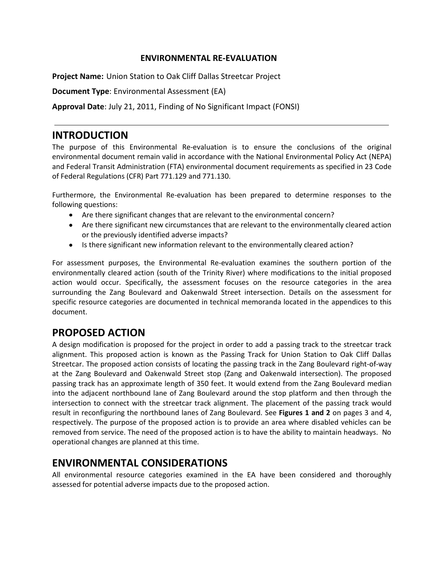### **ENVIRONMENTAL RE-EVALUATION**

**Project Name:** Union Station to Oak Cliff Dallas Streetcar Project

**Document Type**: Environmental Assessment (EA)

**Approval Date**: July 21, 2011, Finding of No Significant Impact (FONSI)

### **INTRODUCTION**

The purpose of this Environmental Re-evaluation is to ensure the conclusions of the original environmental document remain valid in accordance with the National Environmental Policy Act (NEPA) and Federal Transit Administration (FTA) environmental document requirements as specified in 23 Code of Federal Regulations (CFR) Part 771.129 and 771.130.

Furthermore, the Environmental Re-evaluation has been prepared to determine responses to the following questions:

- Are there significant changes that are relevant to the environmental concern?  $\bullet$
- Are there significant new circumstances that are relevant to the environmentally cleared action or the previously identified adverse impacts?
- Is there significant new information relevant to the environmentally cleared action?

For assessment purposes, the Environmental Re-evaluation examines the southern portion of the environmentally cleared action (south of the Trinity River) where modifications to the initial proposed action would occur. Specifically, the assessment focuses on the resource categories in the area surrounding the Zang Boulevard and Oakenwald Street intersection. Details on the assessment for specific resource categories are documented in technical memoranda located in the appendices to this document.

# **PROPOSED ACTION**

A design modification is proposed for the project in order to add a passing track to the streetcar track alignment. This proposed action is known as the Passing Track for Union Station to Oak Cliff Dallas Streetcar. The proposed action consists of locating the passing track in the Zang Boulevard right-of-way at the Zang Boulevard and Oakenwald Street stop (Zang and Oakenwald intersection). The proposed passing track has an approximate length of 350 feet. It would extend from the Zang Boulevard median into the adjacent northbound lane of Zang Boulevard around the stop platform and then through the intersection to connect with the streetcar track alignment. The placement of the passing track would result in reconfiguring the northbound lanes of Zang Boulevard. See **Figures 1 and 2** on pages 3 and 4, respectively. The purpose of the proposed action is to provide an area where disabled vehicles can be removed from service. The need of the proposed action is to have the ability to maintain headways. No operational changes are planned at this time.

# **ENVIRONMENTAL CONSIDERATIONS**

All environmental resource categories examined in the EA have been considered and thoroughly assessed for potential adverse impacts due to the proposed action.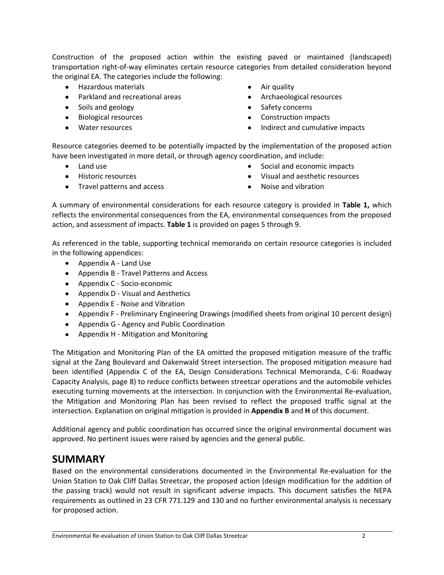Construction of the proposed action within the existing paved or maintained (landscaped) transportation right-of-way eliminates certain resource categories from detailed consideration beyond the original EA. The categories include the following:

- Hazardous materials
- Parkland and recreational areas
- Soils and geology
- Biological resources
- Water resources
- Air quality
- Archaeological resources  $\bullet$
- Safety concerns
- Construction impacts  $\bullet$
- Indirect and cumulative impacts  $\bullet$

Resource categories deemed to be potentially impacted by the implementation of the proposed action have been investigated in more detail, or through agency coordination, and include:

- $\bullet$ Land use
- Historic resources
- Travel patterns and access
- $\bullet$ Social and economic impacts
- Visual and aesthetic resources
- Noise and vibration

A summary of environmental considerations for each resource category is provided in **Table 1,** which reflects the environmental consequences from the EA, environmental consequences from the proposed action, and assessment of impacts. **Table 1** is provided on pages 5 through 9.

As referenced in the table, supporting technical memoranda on certain resource categories is included in the following appendices:

- Appendix A Land Use
- Appendix B Travel Patterns and Access
- Appendix C Socio-economic
- Appendix D Visual and Aesthetics
- Appendix E Noise and Vibration
- Appendix F Preliminary Engineering Drawings (modified sheets from original 10 percent design)
- Appendix G Agency and Public Coordination
- Appendix H Mitigation and Monitoring

The Mitigation and Monitoring Plan of the EA omitted the proposed mitigation measure of the traffic signal at the Zang Boulevard and Oakenwald Street intersection. The proposed mitigation measure had been identified (Appendix C of the EA, Design Considerations Technical Memoranda, C-6: Roadway Capacity Analysis, page 8) to reduce conflicts between streetcar operations and the automobile vehicles executing turning movements at the intersection. In conjunction with the Environmental Re-evaluation, the Mitigation and Monitoring Plan has been revised to reflect the proposed traffic signal at the intersection. Explanation on original mitigation is provided in **Appendix B** and **H** of this document.

Additional agency and public coordination has occurred since the original environmental document was approved. No pertinent issues were raised by agencies and the general public.

# **SUMMARY**

Based on the environmental considerations documented in the Environmental Re-evaluation for the Union Station to Oak Cliff Dallas Streetcar, the proposed action (design modification for the addition of the passing track) would not result in significant adverse impacts. This document satisfies the NEPA requirements as outlined in 23 CFR 771.129 and 130 and no further environmental analysis is necessary for proposed action.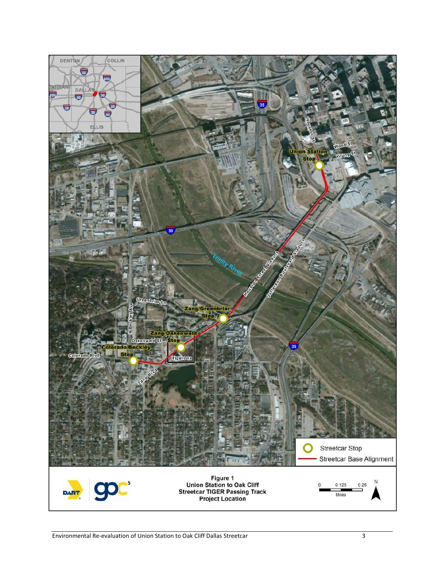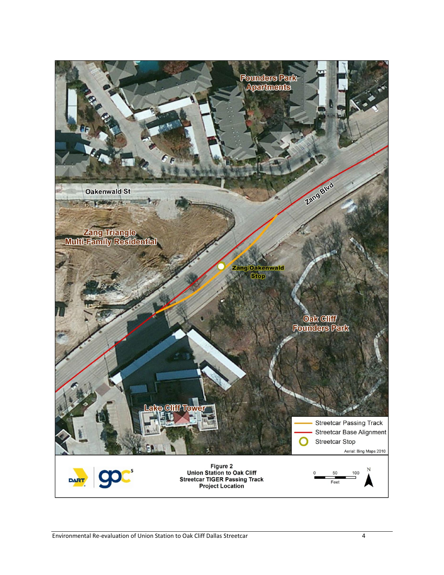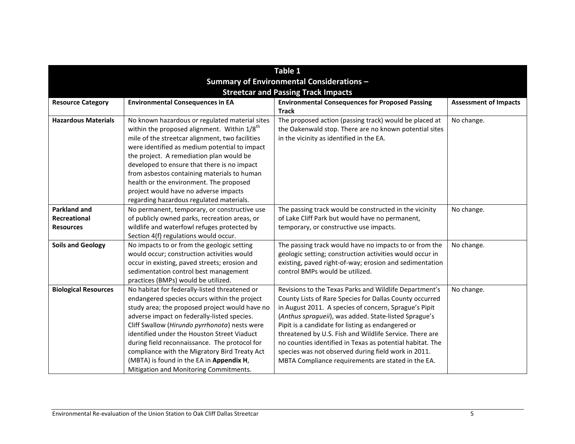|                                                                                         |                                                                                                                                                                                                                                                                                                                                                                                                                                                                                        | Table 1                                                                                                                                                                                                                                                                                                                                                                                                                                                                                                                       |                              |
|-----------------------------------------------------------------------------------------|----------------------------------------------------------------------------------------------------------------------------------------------------------------------------------------------------------------------------------------------------------------------------------------------------------------------------------------------------------------------------------------------------------------------------------------------------------------------------------------|-------------------------------------------------------------------------------------------------------------------------------------------------------------------------------------------------------------------------------------------------------------------------------------------------------------------------------------------------------------------------------------------------------------------------------------------------------------------------------------------------------------------------------|------------------------------|
| Summary of Environmental Considerations -<br><b>Streetcar and Passing Track Impacts</b> |                                                                                                                                                                                                                                                                                                                                                                                                                                                                                        |                                                                                                                                                                                                                                                                                                                                                                                                                                                                                                                               |                              |
| <b>Resource Category</b>                                                                | <b>Environmental Consequences in EA</b>                                                                                                                                                                                                                                                                                                                                                                                                                                                | <b>Environmental Consequences for Proposed Passing</b><br><b>Track</b>                                                                                                                                                                                                                                                                                                                                                                                                                                                        | <b>Assessment of Impacts</b> |
| <b>Hazardous Materials</b>                                                              | No known hazardous or regulated material sites<br>within the proposed alignment. Within 1/8th<br>mile of the streetcar alignment, two facilities<br>were identified as medium potential to impact<br>the project. A remediation plan would be<br>developed to ensure that there is no impact<br>from asbestos containing materials to human<br>health or the environment. The proposed<br>project would have no adverse impacts<br>regarding hazardous regulated materials.            | The proposed action (passing track) would be placed at<br>the Oakenwald stop. There are no known potential sites<br>in the vicinity as identified in the EA.                                                                                                                                                                                                                                                                                                                                                                  | No change.                   |
| <b>Parkland and</b><br>Recreational<br><b>Resources</b>                                 | No permanent, temporary, or constructive use<br>of publicly owned parks, recreation areas, or<br>wildlife and waterfowl refuges protected by<br>Section 4(f) regulations would occur.                                                                                                                                                                                                                                                                                                  | The passing track would be constructed in the vicinity<br>of Lake Cliff Park but would have no permanent,<br>temporary, or constructive use impacts.                                                                                                                                                                                                                                                                                                                                                                          | No change.                   |
| <b>Soils and Geology</b>                                                                | No impacts to or from the geologic setting<br>would occur; construction activities would<br>occur in existing, paved streets; erosion and<br>sedimentation control best management<br>practices (BMPs) would be utilized.                                                                                                                                                                                                                                                              | The passing track would have no impacts to or from the<br>geologic setting; construction activities would occur in<br>existing, paved right-of-way; erosion and sedimentation<br>control BMPs would be utilized.                                                                                                                                                                                                                                                                                                              | No change.                   |
| <b>Biological Resources</b>                                                             | No habitat for federally-listed threatened or<br>endangered species occurs within the project<br>study area; the proposed project would have no<br>adverse impact on federally-listed species.<br>Cliff Swallow (Hirundo pyrrhonota) nests were<br>identified under the Houston Street Viaduct<br>during field reconnaissance. The protocol for<br>compliance with the Migratory Bird Treaty Act<br>(MBTA) is found in the EA in Appendix H,<br>Mitigation and Monitoring Commitments. | Revisions to the Texas Parks and Wildlife Department's<br>County Lists of Rare Species for Dallas County occurred<br>in August 2011. A species of concern, Sprague's Pipit<br>(Anthus spragueii), was added. State-listed Sprague's<br>Pipit is a candidate for listing as endangered or<br>threatened by U.S. Fish and Wildlife Service. There are<br>no counties identified in Texas as potential habitat. The<br>species was not observed during field work in 2011.<br>MBTA Compliance requirements are stated in the EA. | No change.                   |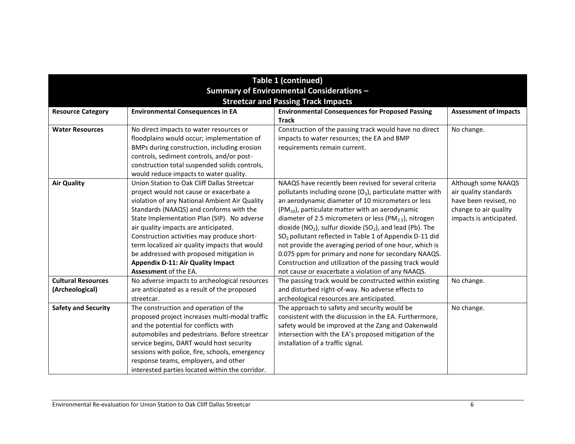| Table 1 (continued)                        |                                                 |                                                                     |                              |
|--------------------------------------------|-------------------------------------------------|---------------------------------------------------------------------|------------------------------|
| Summary of Environmental Considerations -  |                                                 |                                                                     |                              |
| <b>Streetcar and Passing Track Impacts</b> |                                                 |                                                                     |                              |
| <b>Resource Category</b>                   | <b>Environmental Consequences in EA</b>         | <b>Environmental Consequences for Proposed Passing</b>              | <b>Assessment of Impacts</b> |
|                                            |                                                 | <b>Track</b>                                                        |                              |
| <b>Water Resources</b>                     | No direct impacts to water resources or         | Construction of the passing track would have no direct              | No change.                   |
|                                            | floodplains would occur; implementation of      | impacts to water resources; the EA and BMP                          |                              |
|                                            | BMPs during construction, including erosion     | requirements remain current.                                        |                              |
|                                            | controls, sediment controls, and/or post-       |                                                                     |                              |
|                                            | construction total suspended solids controls,   |                                                                     |                              |
|                                            | would reduce impacts to water quality.          |                                                                     |                              |
| <b>Air Quality</b>                         | Union Station to Oak Cliff Dallas Streetcar     | NAAQS have recently been revised for several criteria               | Although some NAAQS          |
|                                            | project would not cause or exacerbate a         | pollutants including ozone $(O_3)$ , particulate matter with        | air quality standards        |
|                                            | violation of any National Ambient Air Quality   | an aerodynamic diameter of 10 micrometers or less                   | have been revised, no        |
|                                            | Standards (NAAQS) and conforms with the         | $(PM_{10})$ , particulate matter with an aerodynamic                | change to air quality        |
|                                            | State Implementation Plan (SIP). No adverse     | diameter of 2.5 micrometers or less (PM $_{2.5}$ ), nitrogen        | impacts is anticipated.      |
|                                            | air quality impacts are anticipated.            | dioxide ( $NO2$ ), sulfur dioxide ( $SO2$ ), and lead (Pb). The     |                              |
|                                            | Construction activities may produce short-      | SO <sub>2</sub> pollutant reflected in Table 1 of Appendix D-11 did |                              |
|                                            | term localized air quality impacts that would   | not provide the averaging period of one hour, which is              |                              |
|                                            | be addressed with proposed mitigation in        | 0.075 ppm for primary and none for secondary NAAQS.                 |                              |
|                                            | <b>Appendix D-11: Air Quality Impact</b>        | Construction and utilization of the passing track would             |                              |
|                                            | Assessment of the EA.                           | not cause or exacerbate a violation of any NAAQS.                   |                              |
| <b>Cultural Resources</b>                  | No adverse impacts to archeological resources   | The passing track would be constructed within existing              | No change.                   |
| (Archeological)                            | are anticipated as a result of the proposed     | and disturbed right-of-way. No adverse effects to                   |                              |
|                                            | streetcar.                                      | archeological resources are anticipated.                            |                              |
| <b>Safety and Security</b>                 | The construction and operation of the           | The approach to safety and security would be                        | No change.                   |
|                                            | proposed project increases multi-modal traffic  | consistent with the discussion in the EA. Furthermore,              |                              |
|                                            | and the potential for conflicts with            | safety would be improved at the Zang and Oakenwald                  |                              |
|                                            | automobiles and pedestrians. Before streetcar   | intersection with the EA's proposed mitigation of the               |                              |
|                                            | service begins, DART would host security        | installation of a traffic signal.                                   |                              |
|                                            | sessions with police, fire, schools, emergency  |                                                                     |                              |
|                                            | response teams, employers, and other            |                                                                     |                              |
|                                            | interested parties located within the corridor. |                                                                     |                              |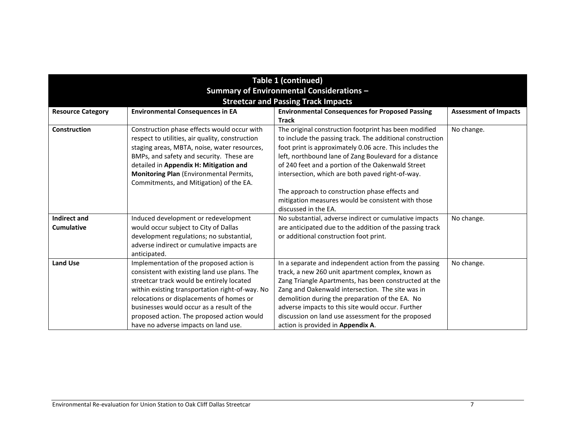| <b>Table 1 (continued)</b>                 |                                                                                                                                                                                                                                                                                                                                                                         |                                                                                                                                                                                                                                                                                                                                                                                                                                                                                   |                              |
|--------------------------------------------|-------------------------------------------------------------------------------------------------------------------------------------------------------------------------------------------------------------------------------------------------------------------------------------------------------------------------------------------------------------------------|-----------------------------------------------------------------------------------------------------------------------------------------------------------------------------------------------------------------------------------------------------------------------------------------------------------------------------------------------------------------------------------------------------------------------------------------------------------------------------------|------------------------------|
| Summary of Environmental Considerations -  |                                                                                                                                                                                                                                                                                                                                                                         |                                                                                                                                                                                                                                                                                                                                                                                                                                                                                   |                              |
| <b>Streetcar and Passing Track Impacts</b> |                                                                                                                                                                                                                                                                                                                                                                         |                                                                                                                                                                                                                                                                                                                                                                                                                                                                                   |                              |
| <b>Resource Category</b>                   | <b>Environmental Consequences in EA</b>                                                                                                                                                                                                                                                                                                                                 | <b>Environmental Consequences for Proposed Passing</b><br><b>Track</b>                                                                                                                                                                                                                                                                                                                                                                                                            | <b>Assessment of Impacts</b> |
| Construction                               | Construction phase effects would occur with<br>respect to utilities, air quality, construction<br>staging areas, MBTA, noise, water resources,<br>BMPs, and safety and security. These are<br>detailed in Appendix H: Mitigation and<br>Monitoring Plan (Environmental Permits,<br>Commitments, and Mitigation) of the EA.                                              | The original construction footprint has been modified<br>to include the passing track. The additional construction<br>foot print is approximately 0.06 acre. This includes the<br>left, northbound lane of Zang Boulevard for a distance<br>of 240 feet and a portion of the Oakenwald Street<br>intersection, which are both paved right-of-way.<br>The approach to construction phase effects and<br>mitigation measures would be consistent with those<br>discussed in the EA. | No change.                   |
| <b>Indirect and</b><br><b>Cumulative</b>   | Induced development or redevelopment<br>would occur subject to City of Dallas<br>development regulations; no substantial,<br>adverse indirect or cumulative impacts are<br>anticipated.                                                                                                                                                                                 | No substantial, adverse indirect or cumulative impacts<br>are anticipated due to the addition of the passing track<br>or additional construction foot print.                                                                                                                                                                                                                                                                                                                      | No change.                   |
| <b>Land Use</b>                            | Implementation of the proposed action is<br>consistent with existing land use plans. The<br>streetcar track would be entirely located<br>within existing transportation right-of-way. No<br>relocations or displacements of homes or<br>businesses would occur as a result of the<br>proposed action. The proposed action would<br>have no adverse impacts on land use. | In a separate and independent action from the passing<br>track, a new 260 unit apartment complex, known as<br>Zang Triangle Apartments, has been constructed at the<br>Zang and Oakenwald intersection. The site was in<br>demolition during the preparation of the EA. No<br>adverse impacts to this site would occur. Further<br>discussion on land use assessment for the proposed<br>action is provided in Appendix A.                                                        | No change.                   |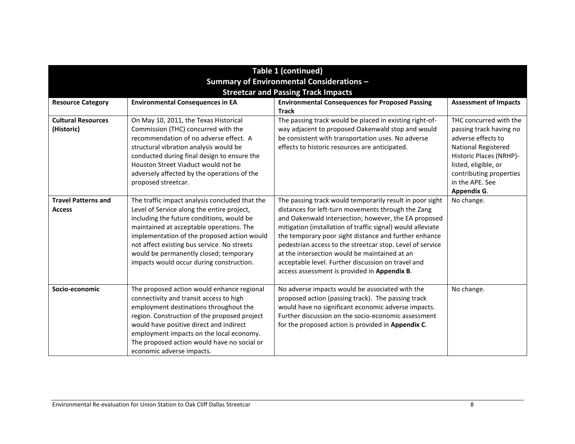| Table 1 (continued)                        |                                                |                                                                        |                              |  |
|--------------------------------------------|------------------------------------------------|------------------------------------------------------------------------|------------------------------|--|
| Summary of Environmental Considerations -  |                                                |                                                                        |                              |  |
|                                            |                                                |                                                                        |                              |  |
| <b>Streetcar and Passing Track Impacts</b> |                                                |                                                                        |                              |  |
| <b>Resource Category</b>                   | <b>Environmental Consequences in EA</b>        | <b>Environmental Consequences for Proposed Passing</b><br><b>Track</b> | <b>Assessment of Impacts</b> |  |
| <b>Cultural Resources</b>                  | On May 10, 2011, the Texas Historical          | The passing track would be placed in existing right-of-                | THC concurred with the       |  |
| (Historic)                                 | Commission (THC) concurred with the            | way adjacent to proposed Oakenwald stop and would                      | passing track having no      |  |
|                                            | recommendation of no adverse effect. A         | be consistent with transportation uses. No adverse                     | adverse effects to           |  |
|                                            | structural vibration analysis would be         | effects to historic resources are anticipated.                         | National Registered          |  |
|                                            | conducted during final design to ensure the    |                                                                        | Historic Places (NRHP)-      |  |
|                                            | Houston Street Viaduct would not be            |                                                                        | listed, eligible, or         |  |
|                                            | adversely affected by the operations of the    |                                                                        | contributing properties      |  |
|                                            | proposed streetcar.                            |                                                                        | in the APE. See              |  |
|                                            |                                                |                                                                        | Appendix G.                  |  |
| <b>Travel Patterns and</b>                 | The traffic impact analysis concluded that the | The passing track would temporarily result in poor sight               | No change.                   |  |
| <b>Access</b>                              | Level of Service along the entire project,     | distances for left-turn movements through the Zang                     |                              |  |
|                                            | including the future conditions, would be      | and Oakenwald intersection; however, the EA proposed                   |                              |  |
|                                            | maintained at acceptable operations. The       | mitigation (installation of traffic signal) would alleviate            |                              |  |
|                                            | implementation of the proposed action would    | the temporary poor sight distance and further enhance                  |                              |  |
|                                            | not affect existing bus service. No streets    | pedestrian access to the streetcar stop. Level of service              |                              |  |
|                                            | would be permanently closed; temporary         | at the intersection would be maintained at an                          |                              |  |
|                                            | impacts would occur during construction.       | acceptable level. Further discussion on travel and                     |                              |  |
|                                            |                                                | access assessment is provided in Appendix B.                           |                              |  |
| Socio-economic                             | The proposed action would enhance regional     | No adverse impacts would be associated with the                        | No change.                   |  |
|                                            | connectivity and transit access to high        | proposed action (passing track). The passing track                     |                              |  |
|                                            | employment destinations throughout the         | would have no significant economic adverse impacts.                    |                              |  |
|                                            | region. Construction of the proposed project   | Further discussion on the socio-economic assessment                    |                              |  |
|                                            | would have positive direct and indirect        | for the proposed action is provided in Appendix C.                     |                              |  |
|                                            | employment impacts on the local economy.       |                                                                        |                              |  |
|                                            | The proposed action would have no social or    |                                                                        |                              |  |
|                                            | economic adverse impacts.                      |                                                                        |                              |  |